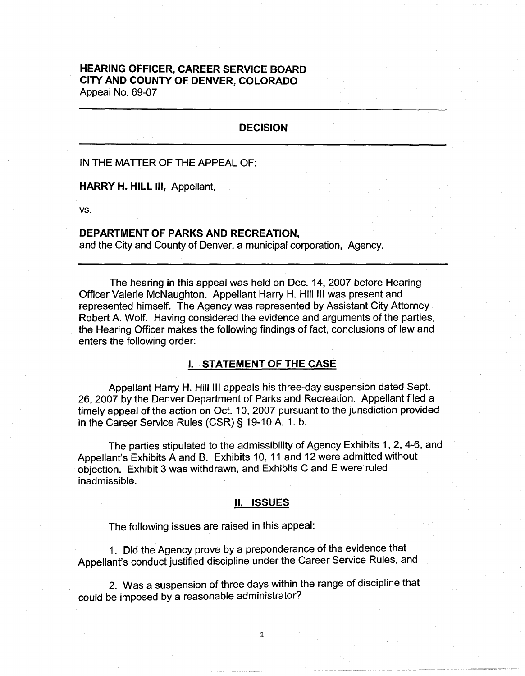# **HEARING OFFICER, CAREER SERVICE BOARD CITY AND COUNTY OF DENVER, COLORADO**  Appeal No. 69-07

## **DECISION**

IN THE MATTER OF THE APPEAL OF:

**HARRY H. HILL** Ill, Appellant,

vs.

## **DEPARTMENT OF PARKS AND RECREATION,**

and the City and County of Denver, a municipal corporation, Agency.

The hearing in this appeal was held on Dec. 14, 2007 before Hearing Officer Valerie McNaughton. Appellant Harry H. Hill Ill was present and represented himself. The Agency was represented by Assistant City Attorney Robert A. Wolf. Having considered the evidence and arguments of the parties, the Hearing Officer makes the following findings of fact, conclusions of law and enters the following order:

# I. **STATEMENT OF THE CASE**

Appellant Harry H. Hill Ill appeals his three-day suspension dated Sept. 26, 2007 by the Denver Department of Parks and Recreation. Appellant filed a timely appeal of the action on Oct. 10, 2007 pursuant to the jurisdiction provided in the Career Service Rules (CSR) § 19-10 A. 1. b.

The parties stipulated to the admissibility of Agency Exhibits 1, 2, 4-6, and Appellant's Exhibits A and B. Exhibits 10, 11 and 12 were admitted without objection. Exhibit 3 was withdrawn, and Exhibits C and E were ruled inadmissible.

#### II. **ISSUES**

The following issues are raised in this appeal:

1 . Did the Agency prove by a preponderance of the evidence that Appellant's conduct justified discipline under the Career Service Rules, and

2. Was a suspension of three days within the range of discipline that could be imposed by a reasonable administrator?

1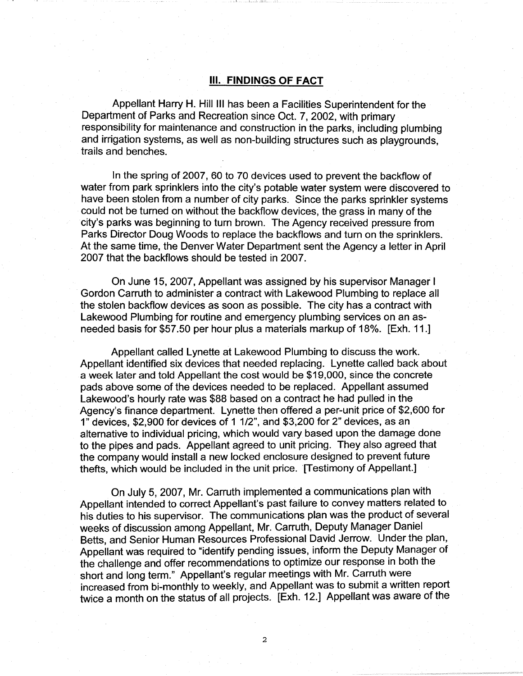## Ill. **FINDINGS OF FACT**

Appellant Harry **H.** Hill Ill has been a Facilities Superintendent for the Department of Parks and Recreation since Oct. 7, 2002, with primary responsibility for maintenance and construction in the parks, including plumbing and irrigation systems, as well as non-building structures such as playgrounds, trails and benches.

In the spring of 2007, 60 to 70 devices used to prevent the backflow of water from park sprinklers into the city's potable water system were discovered to have been stolen from a number of city parks. Since the parks sprinkler systems could not be turned on without the backflow devices, the grass in many of the city's parks was beginning to turn brown. The Agency received pressure from Parks Director Doug Woods to replace the backflows and turn on the sprinklers. At the same time, the Denver Water Department sent the Agency a letter in April 2007 that the backflows should be tested in 2007.

On June 15, 2007, Appellant was assigned by his supervisor Manager I Gordon Carruth to administer a contract with Lakewood Plumbing to replace all the stolen backflow devices as soon as possible. The city has a contract with Lakewood Plumbing for routine and emergency plumbing services on an asneeded basis for \$57.50 per hour plus a materials markup of 18%. [Exh. 11.]

Appellant called Lynette at Lakewood Plumbing to discuss the work. Appellant identified six devices that needed replacing. Lynette called back about a week later and told Appellant the cost would be \$19,000, since the concrete pads above some of the devices needed to be replaced. Appellant assumed Lakewood's hourly rate was \$88 based on a contract he had pulled in the Agency's finance department. Lynette then offered a per-unit price of \$2,600 for 1" devices, \$2,900 for devices of 1 1/2", and \$3,200 for 2" devices, as an alternative to individual pricing, which would vary based upon the damage done to the pipes and pads. Appellant agreed to unit pricing. They also agreed that the company would install a new locked enclosure designed to prevent future thefts, which would be included in the unit price. [Testimony of Appellant.]

On July 5, 2007, Mr. Carruth implemented a communications plan with Appellant intended to correct Appellant's past failure to convey matters related to his duties to his supervisor. The communications plan was the product of several weeks of discussion among Appellant, Mr. Carruth, Deputy Manager Daniel Betts, and Senior Human Resources Professional David Jerrow. Under the plan, Appellant was required to "identify pending issues, inform the Deputy Manager of the challenge and offer recommendations to optimize our response in both the short and long term." Appellant's regular meetings with Mr. Carruth were increased from bi-monthly to weekly, and Appellant was to submit a written report twice a month on the status of all projects. [Exh. 12.] Appellant was aware of the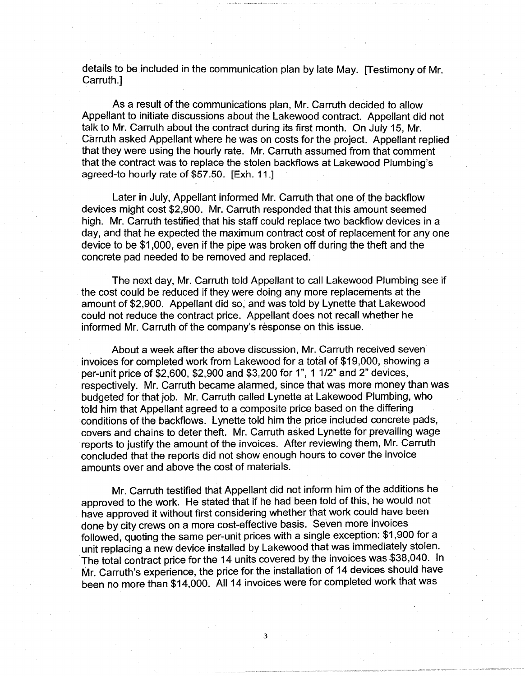details to be included in the communication plan by late May. [Testimony of Mr. Carruth.]

As a result of the communications plan, Mr. Carruth decided to allow Appellant to initiate discussions about the Lakewood contract. Appellant did not talk to Mr. Carruth about the contract during its first month. On July 15, Mr. Carruth asked Appellant where he was on costs for the project. Appellant replied that they were using the hourly rate. Mr. Carruth assumed from that comment that the contract was to replace the stolen backflows at Lakewood Plumbing's agreed-to hourly rate of \$57.50. [Exh. 11.]

Later in July, Appellant informed Mr. Carruth that one of the backflow devices might cost \$2,900. Mr. Carruth responded that this amount seemed high. Mr. Carruth testified that his staff could replace two backflow devices in a day, and that he expected the maximum contract cost of replacement for any one device to be \$1,000, even if the pipe was broken off during the theft and the concrete pad needed to be removed and replaced.

The next day, Mr. Carruth told Appellant to call Lakewood Plumbing see if the cost could be reduced if they were doing any more replacements at the amount of \$2,900. Appellant did so, and was told by Lynette that Lakewood could not reduce the contract price. Appellant does not recall whether he informed Mr. Carruth of the company's response on this issue.

About a week after the above discussion, Mr. Carruth received seven invoices for completed work from Lakewood for a total of \$19,000, showing a per-unit price of \$2,600, \$2,900 and \$3,200 for 1", 1 1/2" and 2" devices, respectively. Mr. Carruth became alarmed, since that was more money than was budgeted for that job. Mr. Carruth called Lynette at Lakewood Plumbing, who told him that Appellant agreed to a composite price based on the differing conditions of the backflows. Lynette told him the price included concrete pads, covers and chains to deter theft. Mr. Carruth asked Lynette for prevailing wage reports to justify the amount of the invoices. After reviewing them, Mr. Carruth concluded that the reports did not show enough hours to cover the invoice amounts over and above the cost of materials.

Mr. Carruth testified that Appellant did not inform him of the additions he approved to the work. He stated that if he had been told of this, he would not have approved it without first considering whether that work could have been done by city crews on a more cost-effective basis. Seven more invoices followed, quoting the same per-unit prices with a single exception: \$1,900 for a unit replacing a new device installed by Lakewood that was immediately stolen. The total contract price for the 14 units covered by the invoices was \$38,040. In Mr. Carruth's experience, the price for the installation of 14 devices should have been no more than \$14,000. All 14 invoices were for completed work that was

3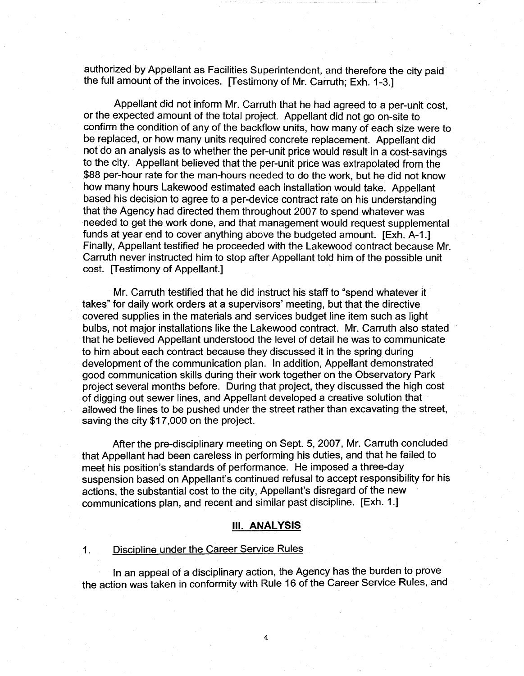authorized by Appellant as Facilities Superintendent, and therefore the city paid the full amount of the invoices. [Testimony of Mr. Carruth; Exh. 1-3.]

Appellant did not inform Mr. Carruth that he had agreed to a per-unit cost, or the expected amount of the total project. Appellant did not go on-site to confirm the condition of any of the backflow units, how many of each size were to be replaced, or how many units required concrete replacement. Appellant did not do an analysis as to whether the per-unit price would result in a cost-savings to the city. Appellant believed that the per-unit price was extrapolated from the \$88 per-hour rate for the man-hours needed to do the work, but he did not know how many hours Lakewood estimated each installation would take. Appellant based his decision to agree to a per-device contract rate on his understanding that the Agency had directed them throughout 2007 to spend whatever was needed to get the work done, and that management would request supplemental funds at year end to cover anything above the budgeted amount. [Exh. A-1.] Finally, Appellant testified he proceeded with the Lakewood contract because Mr. Carruth never instructed him to stop after Appellant told him of the possible unit cost. [Testimony of Appellant.]

Mr. Carruth testified that he did instruct his staff to "spend whatever it takes" for daily work orders at a supervisors' meeting, but that the directive covered supplies in the materials and services budget line item such as light bulbs, not major installations like the Lakewood contract. Mr. Carruth also stated that he believed Appellant understood the level of detail he was to communicate to him about each contract because they discussed it in the spring during development of the communication plan. In addition, Appellant demonstrated good communication skills during their work together on the Observatory Park project several months before. During that project, they discussed the high cost of digging out sewer lines, and Appellant developed a creative solution that allowed the lines to be pushed under the street rather than excavating the street, saving the city \$17,000 on the project.

After the pre-disciplinary meeting on Sept. 5, 2007, Mr. Carruth concluded that Appellant had been careless in performing his duties, and that he failed to meet his position's standards of performance. He imposed a three-day suspension based on Appellant's continued refusal to accept responsibility for his actions, the substantial cost to the city, Appellant's disregard of the new communications plan, and recent and similar past discipline. [Exh. 1.]

#### **111. ANALYSIS**

## 1. Discipline under the Career Service Rules

In an appeal of a disciplinary action, the Agency has the burden to prove the action was taken in conformity with Rule 16 of the Career Service Rules, and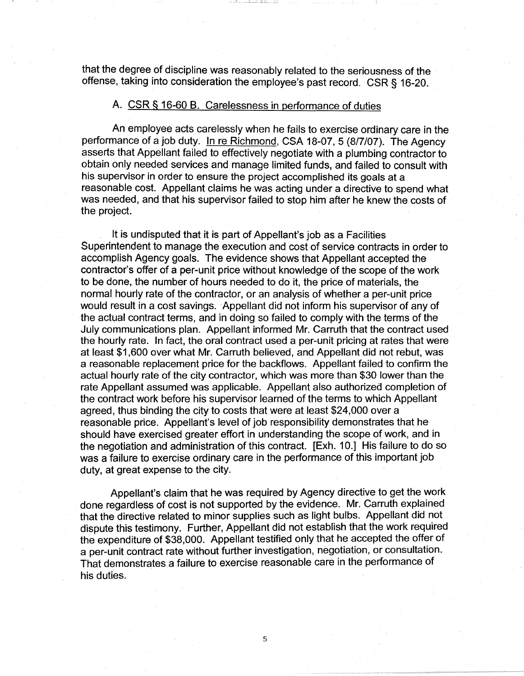that the degree of discipline was reasonably related to the seriousness of the offense, taking into consideration the employee's past record. CSR § 16-20.

# A. CSR § 16-60 B. Carelessness in performance of duties

An employee acts carelessly when he fails to exercise ordinary care in the performance of a job duty. In re Richmond, CSA 18-07, 5 (8/7/07). The Agency asserts that Appellant failed to effectively negotiate with a plumbing contractor to obtain only needed services and manage limited funds, and failed to consult with his supervisor in order to ensure the project accomplished its goals at a reasonable cost. Appellant claims he was acting under a directive to spend what was needed, and that his supervisor failed to stop him after he knew the costs of the project.

It is undisputed that it is part of Appellant's job as a Facilities Superintendent to manage the execution and cost of service contracts in order to accomplish Agency goals. The evidence shows that Appellant accepted the contractor's offer of a per-unit price without knowledge of the scope of the work to be done, the number of hours needed to do it, the price of materials, the normal hourly rate of the contractor, or an analysis of whether a per-unit price would result in a cost savings. Appellant did not inform his supervisor of any of the actual contract terms, and in doing so failed to comply with the terms of the July communications plan. Appellant informed Mr. Carruth that the contract used the hourly rate. In fact, the oral contract used a per-unit pricing at rates that were at least \$1,600 over what Mr. Carruth believed, and Appellant did not rebut, was a reasonable replacement price for the backflows. Appellant failed to confirm the actual hourly rate of the city contractor, which was more than \$30 lower than the rate Appellant assumed was applicable. Appellant also authorized completion of the contract work before his supervisor learned of the terms to which Appellant agreed, thus binding the city to costs that were at least \$24,000 over a reasonable price. Appellant's level of job responsibility demonstrates that he should have exercised greater effort in understanding the scope of work, and in the negotiation and administration of this contract. [Exh. 10.] His failure to do so was a failure to exercise ordinary care in the performance of this important job duty, at great expense to the city.

Appellant's claim that he was required by Agency directive to get the work done regardless of cost is not supported by the evidence. Mr. Carruth explained that the directive related to minor supplies such as light bulbs. Appellant did not dispute this testimony. Further, Appellant did not establish that the work required the expenditure of \$38,000. Appellant testified only that he accepted the offer of a per-unit contract rate without further investigation, negotiation, or consultation. That demonstrates a failure to exercise reasonable care in the performance of his duties.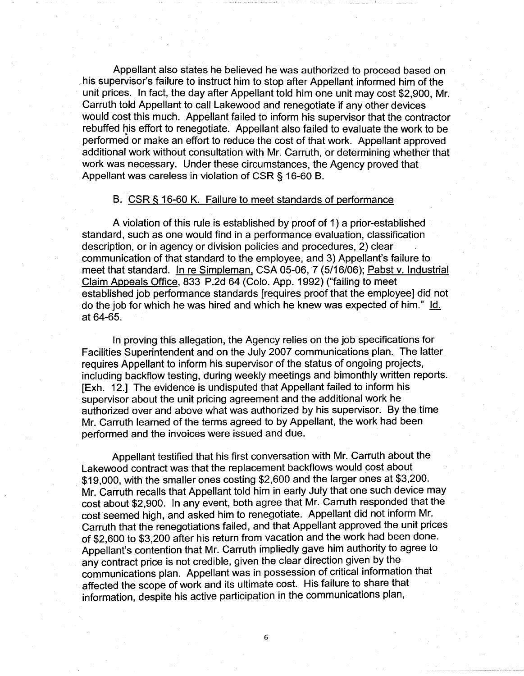Appellant also states he believed he was authorized to proceed based on his supervisor's failure to instruct him to stop after Appellant informed him of the unit prices. In fact, the day after Appellant told him one unit may cost \$2,900, Mr. Carruth told Appellant to call Lakewood and renegotiate if any other devices would cost this much. Appellant failed to inform his supervisor that the contractor rebuffed his effort to renegotiate. Appellant also failed to evaluate the work to be performed or make an effort to reduce the cost of that work. Appellant approved additional work without consultation with Mr. Carruth, or determining whether that work was necessary. Under these circumstances, the Agency proved that Appellant was careless in violation of CSR § 16-60 B.

## B. CSR § 16-60 K. Failure to meet standards of performance

A violation of this rule is established by proof of 1) a prior-established standard, such as one would find in a performance evaluation, classification description, or in agency or division policies and procedures, 2) clear communication of that standard to the employee, and 3) Appellant's failure to meet that standard. In re Simpleman, CSA 05-06, 7 (5/16/06); Pabst v. Industrial Claim Appeals Office, 833 P.2d 64 (Colo. App. 1992) ("failing to meet established job performance standards [requires proof that the employee] did not do the job for which he was hired and which he knew was expected of him." Id. at 64-65.

In proving this allegation, the Agency relies on the job specifications for Facilities Superintendent and on the July 2007 communications plan. The latter requires Appellant to inform his supervisor of the status of ongoing projects, including backflow testing, during weekly meetings and bimonthly written reports. [Exh. 12.] The evidence is undisputed that Appellant failed to inform his supervisor about the unit pricing agreement and the additional work he authorized over and above what was authorized by his supervisor. By the time Mr. Carruth learned of the terms agreed to by Appellant, the work had been performed and the invoices were issued and due.

Appellant testified that his first conversation with Mr. Carruth about the Lakewood contract was that the replacement backflows would cost about \$19,000, with the smaller ones costing \$2,600 and the larger ones at \$3,200. Mr. Carruth recalls that Appellant told him in early July that one such device may cost about \$2,900. In any event, both agree that Mr. Carruth responded that the cost seemed high, and asked him to renegotiate. Appellant did not inform Mr. Carruth that the renegotiations failed, and that Appellant approved the unit prices of \$2,600 to \$3,200 after his return from vacation and the work had been done. Appellant's contention that Mr. Carruth impliedly gave him authority to agree to any contract price is not credible, given the clear direction given by the communications plan. Appellant was in possession of critical information that affected the scope of work and its ultimate cost. His failure to share that information, despite his active participation in the communications plan,